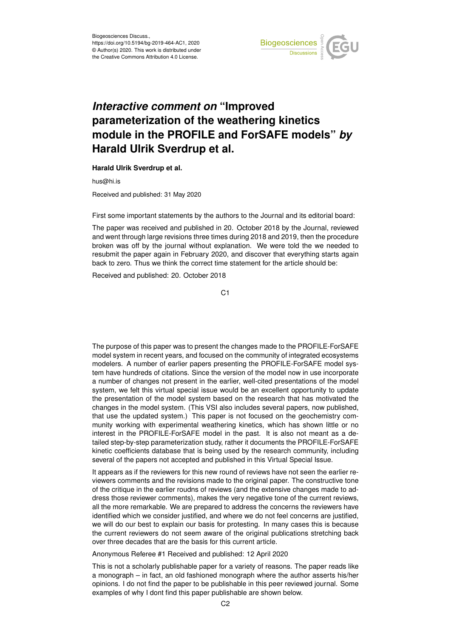

## *Interactive comment on* **"Improved parameterization of the weathering kinetics module in the PROFILE and ForSAFE models"** *by* **Harald Ulrik Sverdrup et al.**

**Harald Ulrik Sverdrup et al.**

hus@hi.is

Received and published: 31 May 2020

First some important statements by the authors to the Journal and its editorial board:

The paper was received and published in 20. October 2018 by the Journal, reviewed and went through large revisions three times during 2018 and 2019, then the procedure broken was off by the journal without explanation. We were told the we needed to resubmit the paper again in February 2020, and discover that everything starts again back to zero. Thus we think the correct time statement for the article should be:

Received and published: 20. October 2018

The purpose of this paper was to present the changes made to the PROFILE-ForSAFE model system in recent years, and focused on the community of integrated ecosystems modelers. A number of earlier papers presenting the PROFILE-ForSAFE model system have hundreds of citations. Since the version of the model now in use incorporate a number of changes not present in the earlier, well-cited presentations of the model system, we felt this virtual special issue would be an excellent opportunity to update the presentation of the model system based on the research that has motivated the changes in the model system. (This VSI also includes several papers, now published, that use the updated system.) This paper is not focused on the geochemistry community working with experimental weathering kinetics, which has shown little or no interest in the PROFILE-ForSAFE model in the past. It is also not meant as a detailed step-by-step parameterization study, rather it documents the PROFILE-ForSAFE kinetic coefficients database that is being used by the research community, including several of the papers not accepted and published in this Virtual Special Issue.

It appears as if the reviewers for this new round of reviews have not seen the earlier reviewers comments and the revisions made to the original paper. The constructive tone of the critique in the earlier roudns of reviews (and the extensive changes made to address those reviewer comments), makes the very negative tone of the current reviews, all the more remarkable. We are prepared to address the concerns the reviewers have identified which we consider justified, and where we do not feel concerns are justified, we will do our best to explain our basis for protesting. In many cases this is because the current reviewers do not seem aware of the original publications stretching back over three decades that are the basis for this current article.

Anonymous Referee #1 Received and published: 12 April 2020

This is not a scholarly publishable paper for a variety of reasons. The paper reads like a monograph – in fact, an old fashioned monograph where the author asserts his/her opinions. I do not find the paper to be publishable in this peer reviewed journal. Some examples of why I dont find this paper publishable are shown below.

C<sub>1</sub>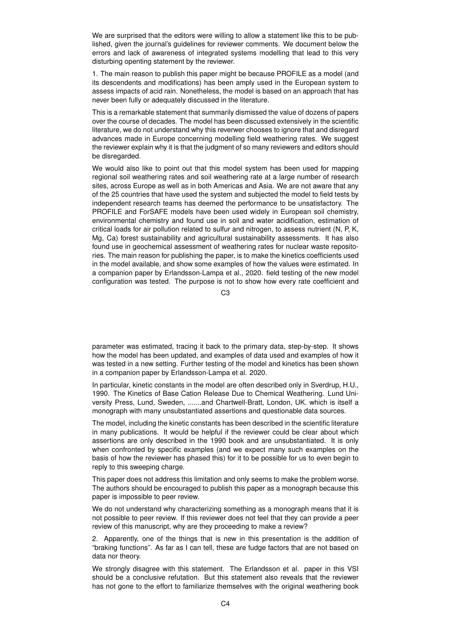We are surprised that the editors were willing to allow a statement like this to be published, given the journal's guidelines for reviewer comments. We document below the errors and lack of awareness of integrated systems modelling that lead to this very disturbing openting statement by the reviewer.

1. The main reason to publish this paper might be because PROFILE as a model (and its descendents and modifications) has been amply used in the European system to assess impacts of acid rain. Nonetheless, the model is based on an approach that has never been fully or adequately discussed in the literature.

This is a remarkable statement that summarily dismissed the value of dozens of papers over the course of decades. The model has been discussed extensively in the scientific literature, we do not understand why this reverwer chooses to ignore that and disregard advances made in Europe concerning modelling field weathering rates. We suggest the reviewer explain why it is that the judgment of so many reviewers and editors should be disregarded.

We would also like to point out that this model system has been used for mapping regional soil weathering rates and soil weathering rate at a large number of research sites, across Europe as well as in both Americas and Asia. We are not aware that any of the 25 countries that have used the system and subjected the model to field tests by independent research teams has deemed the performance to be unsatisfactory. The PROFILE and ForSAFE models have been used widely in European soil chemistry, environmental chemistry and found use in soil and water acidification, estimation of critical loads for air pollution related to sulfur and nitrogen, to assess nutrient (N, P, K, Mg, Ca) forest sustainability and agricultural sustainability assessments. It has also found use in geochemical assessment of weathering rates for nuclear waste repositories. The main reason for publishing the paper, is to make the kinetics coefficients used in the model available, and show some examples of how the values were estimated. In a companion paper by Erlandsson-Lampa et al., 2020. field testing of the new model configuration was tested. The purpose is not to show how every rate coefficient and

C3

parameter was estimated, tracing it back to the primary data, step-by-step. It shows how the model has been updated, and examples of data used and examples of how it was tested in a new setting. Further testing of the model and kinetics has been shown in a companion paper by Erlandsson-Lampa et al. 2020.

In particular, kinetic constants in the model are often described only in Sverdrup, H.U., 1990. The Kinetics of Base Cation Release Due to Chemical Weathering. Lund University Press, Lund, Sweden, .......and Chartwell-Bratt, London, UK. which is itself a monograph with many unsubstantiated assertions and questionable data sources.

The model, including the kinetic constants has been described in the scientific literature in many publications. It would be helpful if the reviewer could be clear about which assertions are only described in the 1990 book and are unsubstantiated. It is only when confronted by specific examples (and we expect many such examples on the basis of how the reviewer has phased this) for it to be possible for us to even begin to reply to this sweeping charge.

This paper does not address this limitation and only seems to make the problem worse. The authors should be encouraged to publish this paper as a monograph because this paper is impossible to peer review.

We do not understand why characterizing something as a monograph means that it is not possible to peer review. If this reviewer does not feel that they can provide a peer review of this manuscript, why are they proceeding to make a review?

2. Apparently, one of the things that is new in this presentation is the addition of "braking functions". As far as I can tell, these are fudge factors that are not based on data nor theory.

We strongly disagree with this statement. The Erlandsson et al. paper in this VSI should be a conclusive refutation. But this statement also reveals that the reviewer has not gone to the effort to familiarize themselves with the original weathering book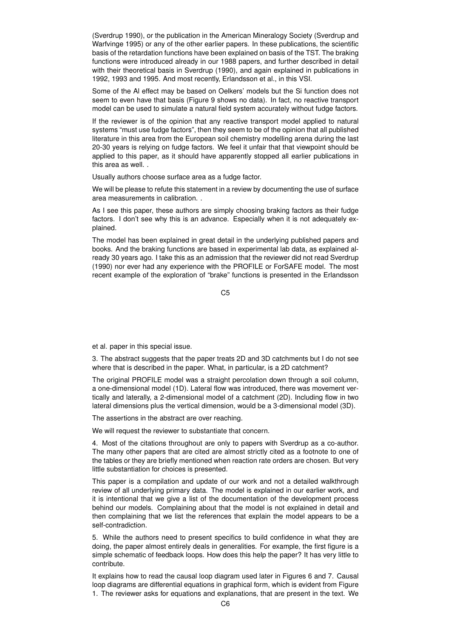(Sverdrup 1990), or the publication in the American Mineralogy Society (Sverdrup and Warfvinge 1995) or any of the other earlier papers. In these publications, the scientific basis of the retardation functions have been explained on basis of the TST. The braking functions were introduced already in our 1988 papers, and further described in detail with their theoretical basis in Sverdrup (1990), and again explained in publications in 1992, 1993 and 1995. And most recently, Erlandsson et al., in this VSI.

Some of the Al effect may be based on Oelkers' models but the Si function does not seem to even have that basis (Figure 9 shows no data). In fact, no reactive transport model can be used to simulate a natural field system accurately without fudge factors.

If the reviewer is of the opinion that any reactive transport model applied to natural systems "must use fudge factors", then they seem to be of the opinion that all published literature in this area from the European soil chemistry modelling arena during the last 20-30 years is relying on fudge factors. We feel it unfair that that viewpoint should be applied to this paper, as it should have apparently stopped all earlier publications in this area as well. .

Usually authors choose surface area as a fudge factor.

We will be please to refute this statement in a review by documenting the use of surface area measurements in calibration. .

As I see this paper, these authors are simply choosing braking factors as their fudge factors. I don't see why this is an advance. Especially when it is not adequately explained.

The model has been explained in great detail in the underlying published papers and books. And the braking functions are based in experimental lab data, as explained already 30 years ago. I take this as an admission that the reviewer did not read Sverdrup (1990) nor ever had any experience with the PROFILE or ForSAFE model. The most recent example of the exploration of "brake" functions is presented in the Erlandsson

C5

et al. paper in this special issue.

3. The abstract suggests that the paper treats 2D and 3D catchments but I do not see where that is described in the paper. What, in particular, is a 2D catchment?

The original PROFILE model was a straight percolation down through a soil column, a one-dimensional model (1D). Lateral flow was introduced, there was movement vertically and laterally, a 2-dimensional model of a catchment (2D). Including flow in two lateral dimensions plus the vertical dimension, would be a 3-dimensional model (3D).

The assertions in the abstract are over reaching.

We will request the reviewer to substantiate that concern.

4. Most of the citations throughout are only to papers with Sverdrup as a co-author. The many other papers that are cited are almost strictly cited as a footnote to one of the tables or they are briefly mentioned when reaction rate orders are chosen. But very little substantiation for choices is presented.

This paper is a compilation and update of our work and not a detailed walkthrough review of all underlying primary data. The model is explained in our earlier work, and it is intentional that we give a list of the documentation of the development process behind our models. Complaining about that the model is not explained in detail and then complaining that we list the references that explain the model appears to be a self-contradiction.

5. While the authors need to present specifics to build confidence in what they are doing, the paper almost entirely deals in generalities. For example, the first figure is a simple schematic of feedback loops. How does this help the paper? It has very little to contribute.

It explains how to read the causal loop diagram used later in Figures 6 and 7. Causal loop diagrams are differential equations in graphical form, which is evident from Figure 1. The reviewer asks for equations and explanations, that are present in the text. We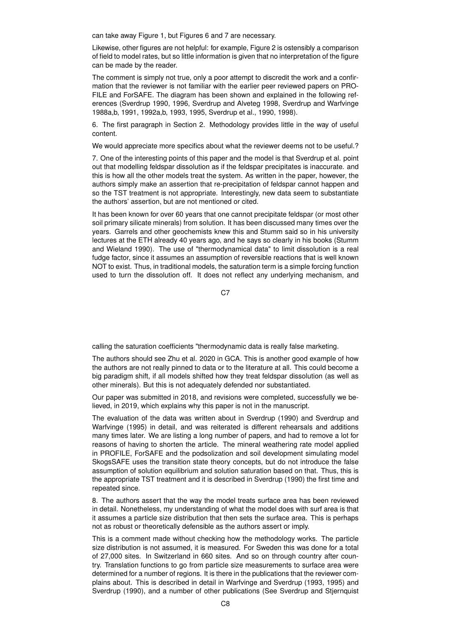can take away Figure 1, but Figures 6 and 7 are necessary.

Likewise, other figures are not helpful: for example, Figure 2 is ostensibly a comparison of field to model rates, but so little information is given that no interpretation of the figure can be made by the reader.

The comment is simply not true, only a poor attempt to discredit the work and a confirmation that the reviewer is not familiar with the earlier peer reviewed papers on PRO-FILE and ForSAFE. The diagram has been shown and explained in the following references (Sverdrup 1990, 1996, Sverdrup and Alveteg 1998, Sverdrup and Warfvinge 1988a,b, 1991, 1992a,b, 1993, 1995, Sverdrup et al., 1990, 1998).

6. The first paragraph in Section 2. Methodology provides little in the way of useful content.

We would appreciate more specifics about what the reviewer deems not to be useful.?

7. One of the interesting points of this paper and the model is that Sverdrup et al. point out that modelling feldspar dissolution as if the feldspar precipitates is inaccurate. and this is how all the other models treat the system. As written in the paper, however, the authors simply make an assertion that re-precipitation of feldspar cannot happen and so the TST treatment is not appropriate. Interestingly, new data seem to substantiate the authors' assertion, but are not mentioned or cited.

It has been known for over 60 years that one cannot precipitate feldspar (or most other soil primary silicate minerals) from solution. It has been discussed many times over the years. Garrels and other geochemists knew this and Stumm said so in his university lectures at the ETH already 40 years ago, and he says so clearly in his books (Stumm and Wieland 1990). The use of "thermodynamical data" to limit dissolution is a real fudge factor, since it assumes an assumption of reversible reactions that is well known NOT to exist. Thus, in traditional models, the saturation term is a simple forcing function used to turn the dissolution off. It does not reflect any underlying mechanism, and

C7

calling the saturation coefficients "thermodynamic data is really false marketing.

The authors should see Zhu et al. 2020 in GCA. This is another good example of how the authors are not really pinned to data or to the literature at all. This could become a big paradigm shift, if all models shifted how they treat feldspar dissolution (as well as other minerals). But this is not adequately defended nor substantiated.

Our paper was submitted in 2018, and revisions were completed, successfully we believed, in 2019, which explains why this paper is not in the manuscript.

The evaluation of the data was written about in Sverdrup (1990) and Sverdrup and Warfvinge (1995) in detail, and was reiterated is different rehearsals and additions many times later. We are listing a long number of papers, and had to remove a lot for reasons of having to shorten the article. The mineral weathering rate model applied in PROFILE, ForSAFE and the podsolization and soil development simulating model SkogsSAFE uses the transition state theory concepts, but do not introduce the false assumption of solution equilibrium and solution saturation based on that. Thus, this is the appropriate TST treatment and it is described in Sverdrup (1990) the first time and repeated since.

8. The authors assert that the way the model treats surface area has been reviewed in detail. Nonetheless, my understanding of what the model does with surf area is that it assumes a particle size distribution that then sets the surface area. This is perhaps not as robust or theoretically defensible as the authors assert or imply.

This is a comment made without checking how the methodology works. The particle size distribution is not assumed, it is measured. For Sweden this was done for a total of 27,000 sites. In Switzerland in 660 sites. And so on through country after country. Translation functions to go from particle size measurements to surface area were determined for a number of regions. It is there in the publications that the reviewer complains about. This is described in detail in Warfvinge and Sverdrup (1993, 1995) and Sverdrup (1990), and a number of other publications (See Sverdrup and Stjernquist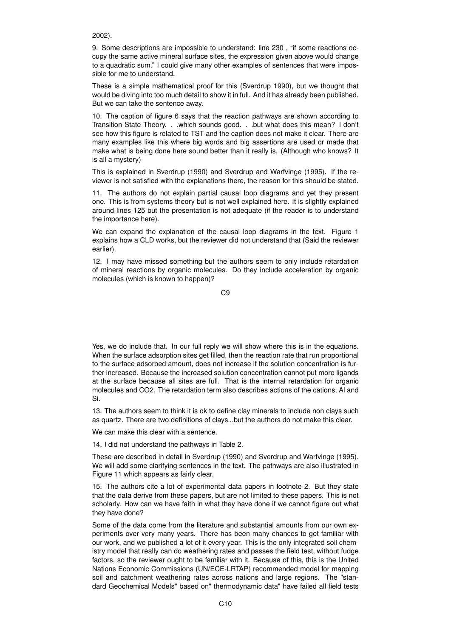2002).

9. Some descriptions are impossible to understand: line 230 , "if some reactions occupy the same active mineral surface sites, the expression given above would change to a quadratic sum." I could give many other examples of sentences that were impossible for me to understand.

These is a simple mathematical proof for this (Sverdrup 1990), but we thought that would be diving into too much detail to show it in full. And it has already been published. But we can take the sentence away.

10. The caption of figure 6 says that the reaction pathways are shown according to Transition State Theory. . .which sounds good. . .but what does this mean? I don't see how this figure is related to TST and the caption does not make it clear. There are many examples like this where big words and big assertions are used or made that make what is being done here sound better than it really is. (Although who knows? It is all a mystery)

This is explained in Sverdrup (1990) and Sverdrup and Warfvinge (1995). If the reviewer is not satisfied with the explanations there, the reason for this should be stated.

11. The authors do not explain partial causal loop diagrams and yet they present one. This is from systems theory but is not well explained here. It is slightly explained around lines 125 but the presentation is not adequate (if the reader is to understand the importance here).

We can expand the explanation of the causal loop diagrams in the text. Figure 1 explains how a CLD works, but the reviewer did not understand that (Said the reviewer earlier).

12. I may have missed something but the authors seem to only include retardation of mineral reactions by organic molecules. Do they include acceleration by organic molecules (which is known to happen)?

 $C9$ 

Yes, we do include that. In our full reply we will show where this is in the equations. When the surface adsorption sites get filled, then the reaction rate that run proportional to the surface adsorbed amount, does not increase if the solution concentration is further increased. Because the increased solution concentration cannot put more ligands at the surface because all sites are full. That is the internal retardation for organic molecules and CO2. The retardation term also describes actions of the cations, Al and Si.

13. The authors seem to think it is ok to define clay minerals to include non clays such as quartz. There are two definitions of clays...but the authors do not make this clear.

We can make this clear with a sentence.

14. I did not understand the pathways in Table 2.

These are described in detail in Sverdrup (1990) and Sverdrup and Warfvinge (1995). We will add some clarifying sentences in the text. The pathways are also illustrated in Figure 11 which appears as fairly clear.

15. The authors cite a lot of experimental data papers in footnote 2. But they state that the data derive from these papers, but are not limited to these papers. This is not scholarly. How can we have faith in what they have done if we cannot figure out what they have done?

Some of the data come from the literature and substantial amounts from our own experiments over very many years. There has been many chances to get familiar with our work, and we published a lot of it every year. This is the only integrated soil chemistry model that really can do weathering rates and passes the field test, without fudge factors, so the reviewer ought to be familiar with it. Because of this, this is the United Nations Economic Commissions (UN/ECE-LRTAP) recommended model for mapping soil and catchment weathering rates across nations and large regions. The "standard Geochemical Models" based on" thermodynamic data" have failed all field tests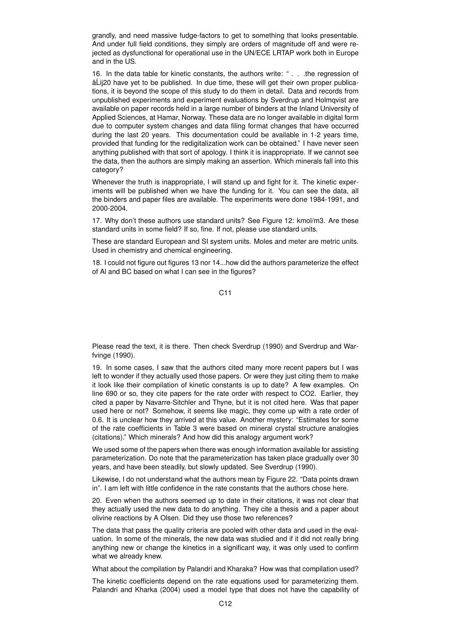grandly, and need massive fudge-factors to get to something that looks presentable. And under full field conditions, they simply are orders of magnitude off and were rejected as dysfunctional for operational use in the UN/ECE LRTAP work both in Europe and in the US.

16. In the data table for kinetic constants, the authors write: " . . .the regression of â´Lij20 have yet to be published. In due time, these will get their own proper publications, it is beyond the scope of this study to do them in detail. Data and records from unpublished experiments and experiment evaluations by Sverdrup and Holmqvist are available on paper records held in a large number of binders at the Inland University of Applied Sciences, at Hamar, Norway. These data are no longer available in digital form due to computer system changes and data filing format changes that have occurred during the last 20 years. This documentation could be available in 1-2 years time, provided that funding for the redigitalization work can be obtained." I have never seen anything published with that sort of apology. I think it is inappropriate. If we cannot see the data, then the authors are simply making an assertion. Which minerals fall into this category?

Whenever the truth is inappropriate, I will stand up and fight for it. The kinetic experiments will be published when we have the funding for it. You can see the data, all the binders and paper files are available. The experiments were done 1984-1991, and 2000-2004.

17. Why don't these authors use standard units? See Figure 12: kmol/m3. Are these standard units in some field? If so, fine. If not, please use standard units.

These are standard European and SI system units. Moles and meter are metric units. Used in chemistry and chemical engineering.

18. I could not figure out figures 13 nor 14...how did the authors parameterize the effect of Al and BC based on what I can see in the figures?

C11

Please read the text, it is there. Then check Sverdrup (1990) and Sverdrup and Warfvinge (1990).

19. In some cases, I saw that the authors cited many more recent papers but I was left to wonder if they actually used those papers. Or were they just citing them to make it look like their compilation of kinetic constants is up to date? A few examples. On line 690 or so, they cite papers for the rate order with respect to CO2. Earlier, they cited a paper by Navarre-Sitchler and Thyne, but it is not cited here. Was that paper used here or not? Somehow, it seems like magic, they come up with a rate order of 0.6. It is unclear how they arrived at this value. Another mystery: "Estimates for some of the rate coefficients in Table 3 were based on mineral crystal structure analogies (citations)." Which minerals? And how did this analogy argument work?

We used some of the papers when there was enough information available for assisting parameterization. Do note that the parameterization has taken place gradually over 30 years, and have been steadily, but slowly updated. See Sverdrup (1990).

Likewise, I do not understand what the authors mean by Figure 22. "Data points drawn in". I am left with little confidence in the rate constants that the authors chose here.

20. Even when the authors seemed up to date in their citations, it was not clear that they actually used the new data to do anything. They cite a thesis and a paper about olivine reactions by A Olsen. Did they use those two references?

The data that pass the quality criteria are pooled with other data and used in the evaluation. In some of the minerals, the new data was studied and if it did not really bring anything new or change the kinetics in a significant way, it was only used to confirm what we already knew.

What about the compilation by Palandri and Kharaka? How was that compilation used?

The kinetic coefficients depend on the rate equations used for parameterizing them. Palandri and Kharka (2004) used a model type that does not have the capability of